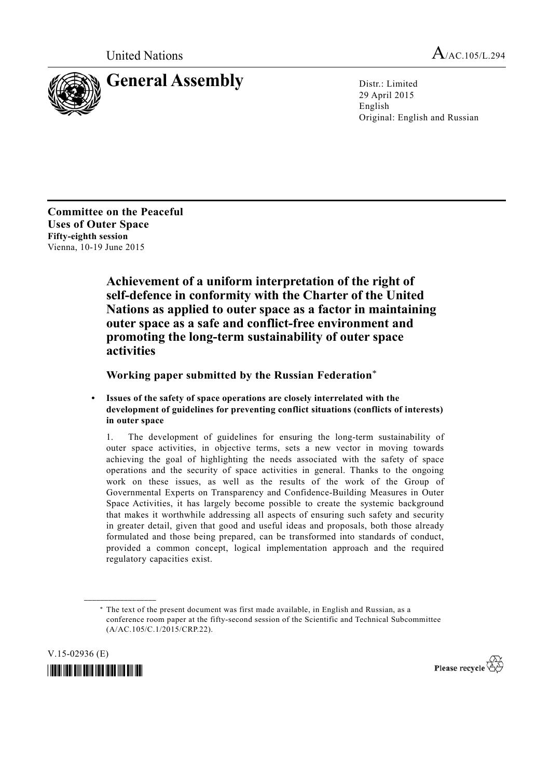

29 April 2015 English Original: English and Russian

**Committee on the Peaceful Uses of Outer Space Fifty-eighth session**  Vienna, 10-19 June 2015

> **Achievement of a uniform interpretation of the right of self-defence in conformity with the Charter of the United Nations as applied to outer space as a factor in maintaining outer space as a safe and conflict-free environment and promoting the long-term sustainability of outer space activities**

 **Working paper submitted by the Russian Federation**\*

**Issues of the safety of space operations are closely interrelated with the development of guidelines for preventing conflict situations (conflicts of interests) in outer space** 

1. The development of guidelines for ensuring the long-term sustainability of outer space activities, in objective terms, sets a new vector in moving towards achieving the goal of highlighting the needs associated with the safety of space operations and the security of space activities in general. Thanks to the ongoing work on these issues, as well as the results of the work of the Group of Governmental Experts on Transparency and Confidence-Building Measures in Outer Space Activities, it has largely become possible to create the systemic background that makes it worthwhile addressing all aspects of ensuring such safety and security in greater detail, given that good and useful ideas and proposals, both those already formulated and those being prepared, can be transformed into standards of conduct, provided a common concept, logical implementation approach and the required regulatory capacities exist.

 <sup>\*</sup> The text of the present document was first made available, in English and Russian, as a conference room paper at the fifty-second session of the Scientific and Technical Subcommittee (A/AC.105/C.1/2015/CRP.22).



**\_\_\_\_\_\_\_\_\_\_\_\_\_\_\_\_\_\_** 

Please recycle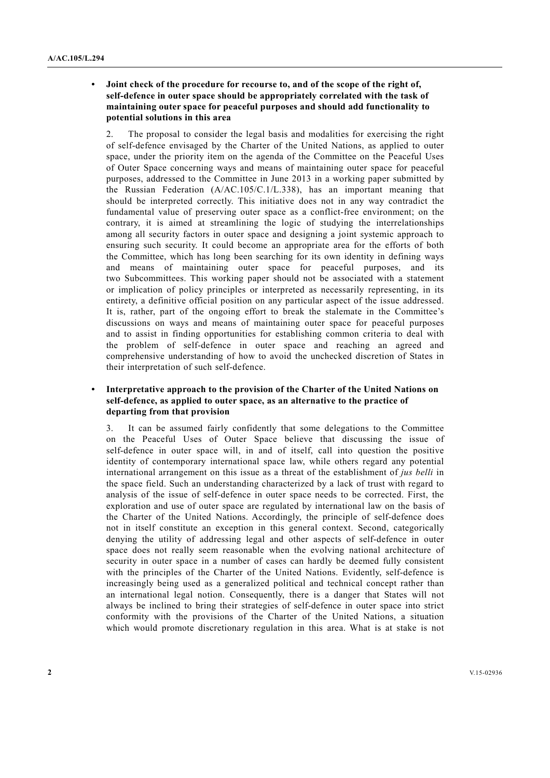**• Joint check of the procedure for recourse to, and of the scope of the right of, self-defence in outer space should be appropriately correlated with the task of maintaining outer space for peaceful purposes and should add functionality to potential solutions in this area** 

2. The proposal to consider the legal basis and modalities for exercising the right of self-defence envisaged by the Charter of the United Nations, as applied to outer space, under the priority item on the agenda of the Committee on the Peaceful Uses of Outer Space concerning ways and means of maintaining outer space for peaceful purposes, addressed to the Committee in June 2013 in a working paper submitted by the Russian Federation (A/AC.105/С.1/L.338), has an important meaning that should be interpreted correctly. This initiative does not in any way contradict the fundamental value of preserving outer space as a conflict-free environment; on the contrary, it is aimed at streamlining the logic of studying the interrelationships among all security factors in outer space and designing a joint systemic approach to ensuring such security. It could become an appropriate area for the efforts of both the Committee, which has long been searching for its own identity in defining ways and means of maintaining outer space for peaceful purposes, and its two Subcommittees. This working paper should not be associated with a statement or implication of policy principles or interpreted as necessarily representing, in its entirety, a definitive official position on any particular aspect of the issue addressed. It is, rather, part of the ongoing effort to break the stalemate in the Committee's discussions on ways and means of maintaining outer space for peaceful purposes and to assist in finding opportunities for establishing common criteria to deal with the problem of self-defence in outer space and reaching an agreed and comprehensive understanding of how to avoid the unchecked discretion of States in their interpretation of such self-defence.

# Interpretative approach to the provision of the Charter of the United Nations on **self-defence, as applied to outer space, as an alternative to the practice of departing from that provision**

It can be assumed fairly confidently that some delegations to the Committee on the Peaceful Uses of Outer Space believe that discussing the issue of self-defence in outer space will, in and of itself, call into question the positive identity of contemporary international space law, while others regard any potential international arrangement on this issue as a threat of the establishment of *jus belli* in the space field. Such an understanding characterized by a lack of trust with regard to analysis of the issue of self-defence in outer space needs to be corrected. First, the exploration and use of outer space are regulated by international law on the basis of the Charter of the United Nations. Accordingly, the principle of self-defence does not in itself constitute an exception in this general context. Second, categorically denying the utility of addressing legal and other aspects of self-defence in outer space does not really seem reasonable when the evolving national architecture of security in outer space in a number of cases can hardly be deemed fully consistent with the principles of the Charter of the United Nations. Evidently, self-defence is increasingly being used as a generalized political and technical concept rather than an international legal notion. Consequently, there is a danger that States will not always be inclined to bring their strategies of self-defence in outer space into strict conformity with the provisions of the Charter of the United Nations, a situation which would promote discretionary regulation in this area. What is at stake is not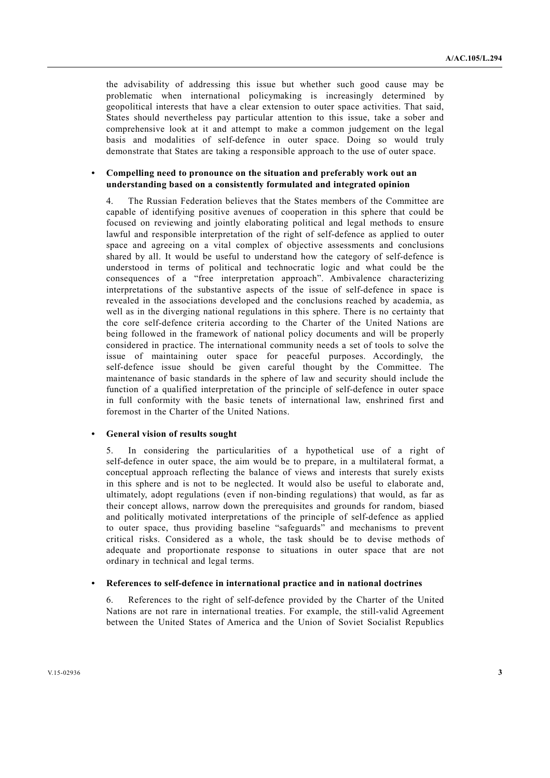the advisability of addressing this issue but whether such good cause may be problematic when international policymaking is increasingly determined by geopolitical interests that have a clear extension to outer space activities. That said, States should nevertheless pay particular attention to this issue, take a sober and comprehensive look at it and attempt to make a common judgement on the legal basis and modalities of self-defence in outer space. Doing so would truly demonstrate that States are taking a responsible approach to the use of outer space.

## **• Compelling need to pronounce on the situation and preferably work out an understanding based on a consistently formulated and integrated opinion**

The Russian Federation believes that the States members of the Committee are capable of identifying positive avenues of cooperation in this sphere that could be focused on reviewing and jointly elaborating political and legal methods to ensure lawful and responsible interpretation of the right of self-defence as applied to outer space and agreeing on a vital complex of objective assessments and conclusions shared by all. It would be useful to understand how the category of self-defence is understood in terms of political and technocratic logic and what could be the consequences of a "free interpretation approach". Ambivalence characterizing interpretations of the substantive aspects of the issue of self-defence in space is revealed in the associations developed and the conclusions reached by academia, as well as in the diverging national regulations in this sphere. There is no certainty that the core self-defence criteria according to the Charter of the United Nations are being followed in the framework of national policy documents and will be properly considered in practice. The international community needs a set of tools to solve the issue of maintaining outer space for peaceful purposes. Accordingly, the self-defence issue should be given careful thought by the Committee. The maintenance of basic standards in the sphere of law and security should include the function of a qualified interpretation of the principle of self-defence in outer space in full conformity with the basic tenets of international law, enshrined first and foremost in the Charter of the United Nations.

# **• General vision of results sought**

5. In considering the particularities of a hypothetical use of a right of self-defence in outer space, the aim would be to prepare, in a multilateral format, a conceptual approach reflecting the balance of views and interests that surely exists in this sphere and is not to be neglected. It would also be useful to elaborate and, ultimately, adopt regulations (even if non-binding regulations) that would, as far as their concept allows, narrow down the prerequisites and grounds for random, biased and politically motivated interpretations of the principle of self-defence as applied to outer space, thus providing baseline "safeguards" and mechanisms to prevent critical risks. Considered as a whole, the task should be to devise methods of adequate and proportionate response to situations in outer space that are not ordinary in technical and legal terms.

## **• References to self-defence in international practice and in national doctrines**

6. References to the right of self-defence provided by the Charter of the United Nations are not rare in international treaties. For example, the still-valid Agreement between the United States of America and the Union of Soviet Socialist Republics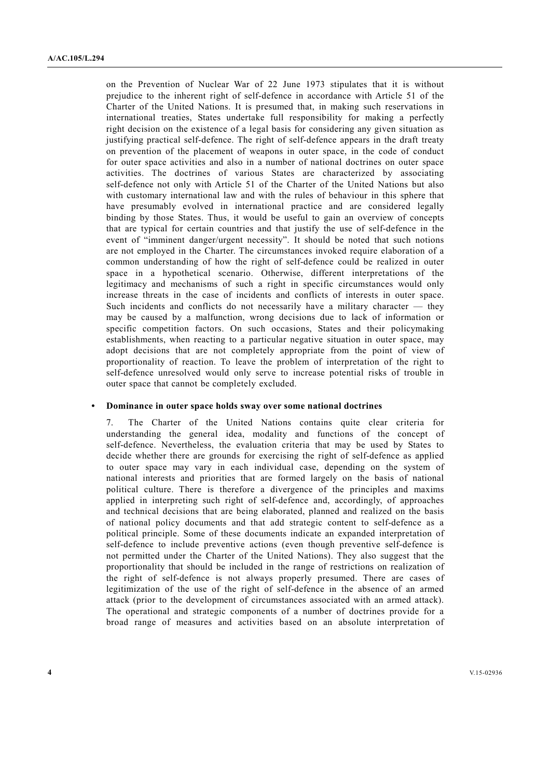on the Prevention of Nuclear War of 22 June 1973 stipulates that it is without prejudice to the inherent right of self-defence in accordance with Article 51 of the Charter of the United Nations. It is presumed that, in making such reservations in international treaties, States undertake full responsibility for making a perfectly right decision on the existence of a legal basis for considering any given situation as justifying practical self-defence. The right of self-defence appears in the draft treaty on prevention of the placement of weapons in outer space, in the code of conduct for outer space activities and also in a number of national doctrines on outer space activities. The doctrines of various States are characterized by associating self-defence not only with Article 51 of the Charter of the United Nations but also with customary international law and with the rules of behaviour in this sphere that have presumably evolved in international practice and are considered legally binding by those States. Thus, it would be useful to gain an overview of concepts that are typical for certain countries and that justify the use of self-defence in the event of "imminent danger/urgent necessity". It should be noted that such notions are not employed in the Charter. The circumstances invoked require elaboration of a common understanding of how the right of self-defence could be realized in outer space in a hypothetical scenario. Otherwise, different interpretations of the legitimacy and mechanisms of such a right in specific circumstances would only increase threats in the case of incidents and conflicts of interests in outer space. Such incidents and conflicts do not necessarily have a military character  $-$  they may be caused by a malfunction, wrong decisions due to lack of information or specific competition factors. On such occasions, States and their policymaking establishments, when reacting to a particular negative situation in outer space, may adopt decisions that are not completely appropriate from the point of view of proportionality of reaction. To leave the problem of interpretation of the right to self-defence unresolved would only serve to increase potential risks of trouble in outer space that cannot be completely excluded.

#### **• Dominance in outer space holds sway over some national doctrines**

7. The Charter of the United Nations contains quite clear criteria for understanding the general idea, modality and functions of the concept of self-defence. Nevertheless, the evaluation criteria that may be used by States to decide whether there are grounds for exercising the right of self-defence as applied to outer space may vary in each individual case, depending on the system of national interests and priorities that are formed largely on the basis of national political culture. There is therefore a divergence of the principles and maxims applied in interpreting such right of self-defence and, accordingly, of approaches and technical decisions that are being elaborated, planned and realized on the basis of national policy documents and that add strategic content to self-defence as a political principle. Some of these documents indicate an expanded interpretation of self-defence to include preventive actions (even though preventive self-defence is not permitted under the Charter of the United Nations). They also suggest that the proportionality that should be included in the range of restrictions on realization of the right of self-defence is not always properly presumed. There are cases of legitimization of the use of the right of self-defence in the absence of an armed attack (prior to the development of circumstances associated with an armed attack). The operational and strategic components of a number of doctrines provide for a broad range of measures and activities based on an absolute interpretation of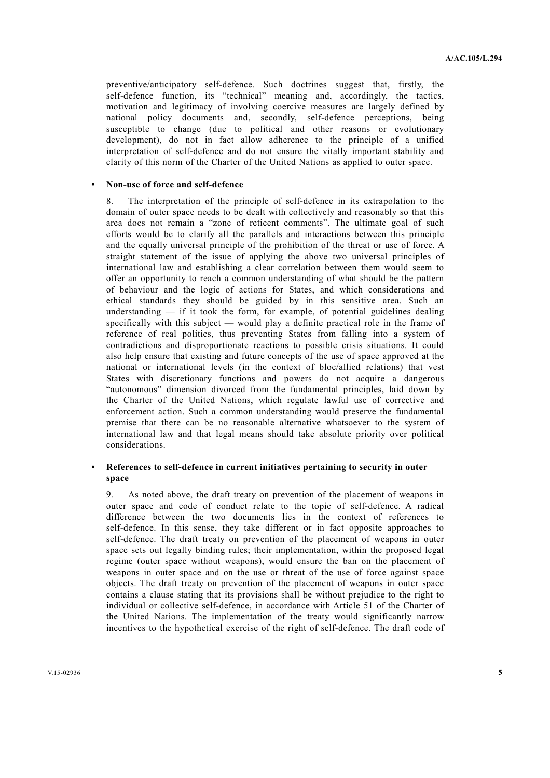preventive/anticipatory self-defence. Such doctrines suggest that, firstly, the self-defence function, its "technical" meaning and, accordingly, the tactics, motivation and legitimacy of involving coercive measures are largely defined by national policy documents and, secondly, self-defence perceptions, being susceptible to change (due to political and other reasons or evolutionary development), do not in fact allow adherence to the principle of a unified interpretation of self-defence and do not ensure the vitally important stability and clarity of this norm of the Charter of the United Nations as applied to outer space.

## **• Non-use of force and self-defence**

8. The interpretation of the principle of self-defence in its extrapolation to the domain of outer space needs to be dealt with collectively and reasonably so that this area does not remain a "zone of reticent comments". The ultimate goal of such efforts would be to clarify all the parallels and interactions between this principle and the equally universal principle of the prohibition of the threat or use of force. A straight statement of the issue of applying the above two universal principles of international law and establishing a clear correlation between them would seem to offer an opportunity to reach a common understanding of what should be the pattern of behaviour and the logic of actions for States, and which considerations and ethical standards they should be guided by in this sensitive area. Such an understanding  $-$  if it took the form, for example, of potential guidelines dealing specifically with this subject — would play a definite practical role in the frame of reference of real politics, thus preventing States from falling into a system of contradictions and disproportionate reactions to possible crisis situations. It could also help ensure that existing and future concepts of the use of space approved at the national or international levels (in the context of bloc/allied relations) that vest States with discretionary functions and powers do not acquire a dangerous "autonomous" dimension divorced from the fundamental principles, laid down by the Charter of the United Nations, which regulate lawful use of corrective and enforcement action. Such a common understanding would preserve the fundamental premise that there can be no reasonable alternative whatsoever to the system of international law and that legal means should take absolute priority over political considerations.

# References to self-defence in current initiatives pertaining to security in outer **space**

9. As noted above, the draft treaty on prevention of the placement of weapons in outer space and code of conduct relate to the topic of self-defence. A radical difference between the two documents lies in the context of references to self-defence. In this sense, they take different or in fact opposite approaches to self-defence. The draft treaty on prevention of the placement of weapons in outer space sets out legally binding rules; their implementation, within the proposed legal regime (outer space without weapons), would ensure the ban on the placement of weapons in outer space and on the use or threat of the use of force against space objects. The draft treaty on prevention of the placement of weapons in outer space contains a clause stating that its provisions shall be without prejudice to the right to individual or collective self-defence, in accordance with Article 51 of the Charter of the United Nations. The implementation of the treaty would significantly narrow incentives to the hypothetical exercise of the right of self-defence. The draft code of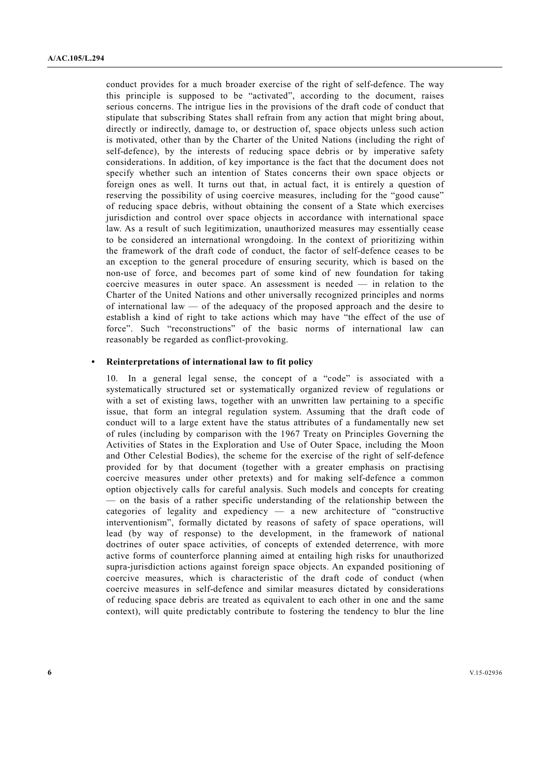conduct provides for a much broader exercise of the right of self-defence. The way this principle is supposed to be "activated", according to the document, raises serious concerns. The intrigue lies in the provisions of the draft code of conduct that stipulate that subscribing States shall refrain from any action that might bring about, directly or indirectly, damage to, or destruction of, space objects unless such action is motivated, other than by the Charter of the United Nations (including the right of self-defence), by the interests of reducing space debris or by imperative safety considerations. In addition, of key importance is the fact that the document does not specify whether such an intention of States concerns their own space objects or foreign ones as well. It turns out that, in actual fact, it is entirely a question of reserving the possibility of using coercive measures, including for the "good cause" of reducing space debris, without obtaining the consent of a State which exercises jurisdiction and control over space objects in accordance with international space law. As a result of such legitimization, unauthorized measures may essentially cease to be considered an international wrongdoing. In the context of prioritizing within the framework of the draft code of conduct, the factor of self-defence ceases to be an exception to the general procedure of ensuring security, which is based on the non-use of force, and becomes part of some kind of new foundation for taking coercive measures in outer space. An assessment is needed — in relation to the Charter of the United Nations and other universally recognized principles and norms of international law  $\sim$  of the adequacy of the proposed approach and the desire to establish a kind of right to take actions which may have "the effect of the use of force". Such "reconstructions" of the basic norms of international law can reasonably be regarded as conflict-provoking.

# **• Reinterpretations of international law to fit policy**

10. In a general legal sense, the concept of a "code" is associated with a systematically structured set or systematically organized review of regulations or with a set of existing laws, together with an unwritten law pertaining to a specific issue, that form an integral regulation system. Assuming that the draft code of conduct will to a large extent have the status attributes of a fundamentally new set of rules (including by comparison with the 1967 Treaty on Principles Governing the Activities of States in the Exploration and Use of Outer Space, including the Moon and Other Celestial Bodies), the scheme for the exercise of the right of self-defence provided for by that document (together with a greater emphasis on practising coercive measures under other pretexts) and for making self-defence a common option objectively calls for careful analysis. Such models and concepts for creating — on the basis of a rather specific understanding of the relationship between the categories of legality and expediency — a new architecture of "constructive interventionism", formally dictated by reasons of safety of space operations, will lead (by way of response) to the development, in the framework of national doctrines of outer space activities, of concepts of extended deterrence, with more active forms of counterforce planning aimed at entailing high risks for unauthorized supra-jurisdiction actions against foreign space objects. An expanded positioning of coercive measures, which is characteristic of the draft code of conduct (when coercive measures in self-defence and similar measures dictated by considerations of reducing space debris are treated as equivalent to each other in one and the same context), will quite predictably contribute to fostering the tendency to blur the line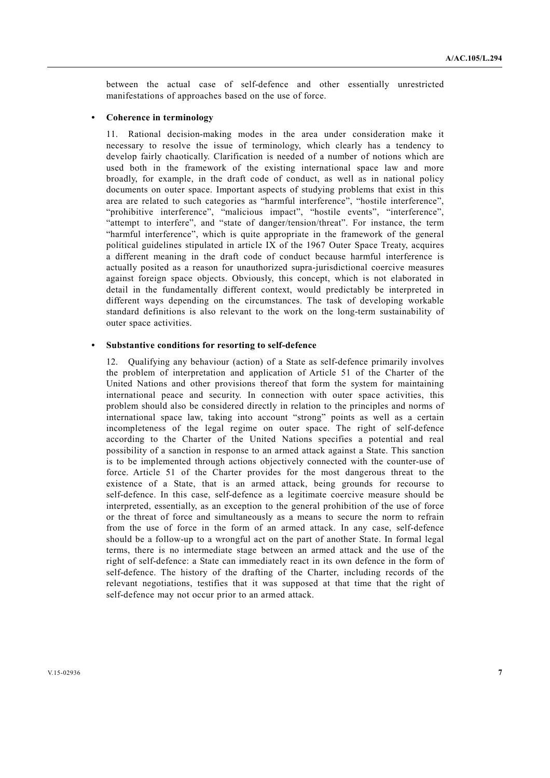between the actual case of self-defence and other essentially unrestricted manifestations of approaches based on the use of force.

## **• Coherence in terminology**

11. Rational decision-making modes in the area under consideration make it necessary to resolve the issue of terminology, which clearly has a tendency to develop fairly chaotically. Clarification is needed of a number of notions which are used both in the framework of the existing international space law and more broadly, for example, in the draft code of conduct, as well as in national policy documents on outer space. Important aspects of studying problems that exist in this area are related to such categories as "harmful interference", "hostile interference", "prohibitive interference", "malicious impact", "hostile events", "interference", "attempt to interfere", and "state of danger/tension/threat". For instance, the term "harmful interference", which is quite appropriate in the framework of the general political guidelines stipulated in article IX of the 1967 Outer Space Treaty, acquires a different meaning in the draft code of conduct because harmful interference is actually posited as a reason for unauthorized supra-jurisdictional coercive measures against foreign space objects. Obviously, this concept, which is not elaborated in detail in the fundamentally different context, would predictably be interpreted in different ways depending on the circumstances. The task of developing workable standard definitions is also relevant to the work on the long-term sustainability of outer space activities.

#### **• Substantive conditions for resorting to self-defence**

12. Qualifying any behaviour (action) of a State as self-defence primarily involves the problem of interpretation and application of Article 51 of the Charter of the United Nations and other provisions thereof that form the system for maintaining international peace and security. In connection with outer space activities, this problem should also be considered directly in relation to the principles and norms of international space law, taking into account "strong" points as well as a certain incompleteness of the legal regime on outer space. The right of self-defence according to the Charter of the United Nations specifies a potential and real possibility of a sanction in response to an armed attack against a State. This sanction is to be implemented through actions objectively connected with the counter-use of force. Article 51 of the Charter provides for the most dangerous threat to the existence of a State, that is an armed attack, being grounds for recourse to self-defence. In this case, self-defence as a legitimate coercive measure should be interpreted, essentially, as an exception to the general prohibition of the use of force or the threat of force and simultaneously as a means to secure the norm to refrain from the use of force in the form of an armed attack. In any case, self-defence should be a follow-up to a wrongful act on the part of another State. In formal legal terms, there is no intermediate stage between an armed attack and the use of the right of self-defence: a State can immediately react in its own defence in the form of self-defence. The history of the drafting of the Charter, including records of the relevant negotiations, testifies that it was supposed at that time that the right of self-defence may not occur prior to an armed attack.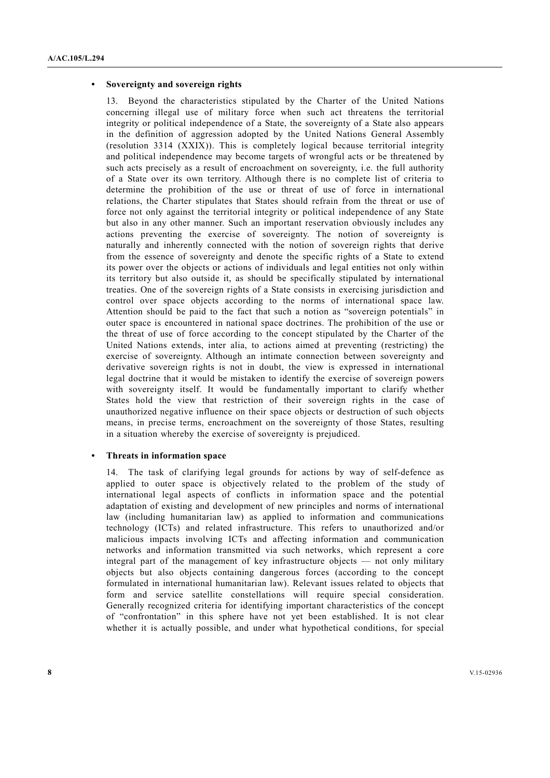#### **• Sovereignty and sovereign rights**

13. Beyond the characteristics stipulated by the Charter of the United Nations concerning illegal use of military force when such act threatens the territorial integrity or political independence of a State, the sovereignty of a State also appears in the definition of aggression adopted by the United Nations General Assembly (resolution 3314 (XXIX)). This is completely logical because territorial integrity and political independence may become targets of wrongful acts or be threatened by such acts precisely as a result of encroachment on sovereignty, i.e. the full authority of a State over its own territory. Although there is no complete list of criteria to determine the prohibition of the use or threat of use of force in international relations, the Charter stipulates that States should refrain from the threat or use of force not only against the territorial integrity or political independence of any State but also in any other manner. Such an important reservation obviously includes any actions preventing the exercise of sovereignty. The notion of sovereignty is naturally and inherently connected with the notion of sovereign rights that derive from the essence of sovereignty and denote the specific rights of a State to extend its power over the objects or actions of individuals and legal entities not only within its territory but also outside it, as should be specifically stipulated by international treaties. One of the sovereign rights of a State consists in exercising jurisdiction and control over space objects according to the norms of international space law. Attention should be paid to the fact that such a notion as "sovereign potentials" in outer space is encountered in national space doctrines. The prohibition of the use or the threat of use of force according to the concept stipulated by the Charter of the United Nations extends, inter alia, to actions aimed at preventing (restricting) the exercise of sovereignty. Although an intimate connection between sovereignty and derivative sovereign rights is not in doubt, the view is expressed in international legal doctrine that it would be mistaken to identify the exercise of sovereign powers with sovereignty itself. It would be fundamentally important to clarify whether States hold the view that restriction of their sovereign rights in the case of unauthorized negative influence on their space objects or destruction of such objects means, in precise terms, encroachment on the sovereignty of those States, resulting in a situation whereby the exercise of sovereignty is prejudiced.

## **• Threats in information space**

14. The task of clarifying legal grounds for actions by way of self-defence as applied to outer space is objectively related to the problem of the study of international legal aspects of conflicts in information space and the potential adaptation of existing and development of new principles and norms of international law (including humanitarian law) as applied to information and communications technology (ICTs) and related infrastructure. This refers to unauthorized and/or malicious impacts involving ICTs and affecting information and communication networks and information transmitted via such networks, which represent a core integral part of the management of key infrastructure objects — not only military objects but also objects containing dangerous forces (according to the concept formulated in international humanitarian law). Relevant issues related to objects that form and service satellite constellations will require special consideration. Generally recognized criteria for identifying important characteristics of the concept of "confrontation" in this sphere have not yet been established. It is not clear whether it is actually possible, and under what hypothetical conditions, for special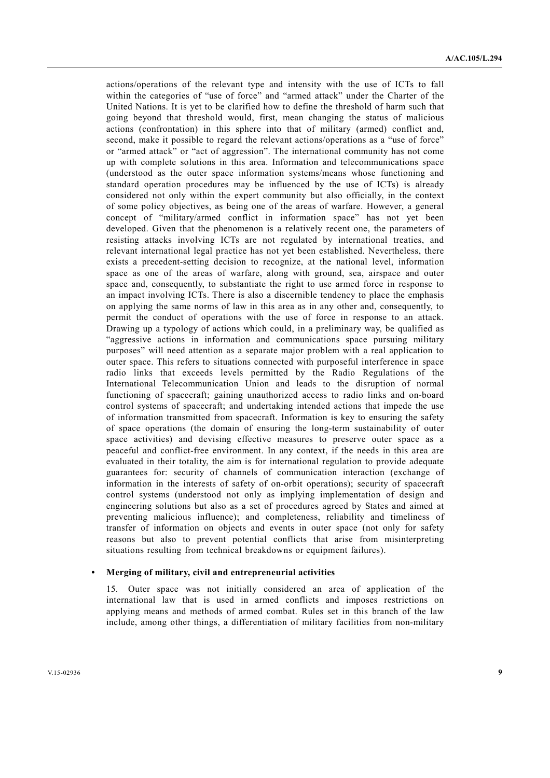actions/operations of the relevant type and intensity with the use of ICTs to fall within the categories of "use of force" and "armed attack" under the Charter of the United Nations. It is yet to be clarified how to define the threshold of harm such that going beyond that threshold would, first, mean changing the status of malicious actions (confrontation) in this sphere into that of military (armed) conflict and, second, make it possible to regard the relevant actions/operations as a "use of force" or "armed attack" or "act of aggression". The international community has not come up with complete solutions in this area. Information and telecommunications space (understood as the outer space information systems/means whose functioning and standard operation procedures may be influenced by the use of ICTs) is already considered not only within the expert community but also officially, in the context of some policy objectives, as being one of the areas of warfare. However, a general concept of "military/armed conflict in information space" has not yet been developed. Given that the phenomenon is a relatively recent one, the parameters of resisting attacks involving ICTs are not regulated by international treaties, and relevant international legal practice has not yet been established. Nevertheless, there exists a precedent-setting decision to recognize, at the national level, information space as one of the areas of warfare, along with ground, sea, airspace and outer space and, consequently, to substantiate the right to use armed force in response to an impact involving ICTs. There is also a discernible tendency to place the emphasis on applying the same norms of law in this area as in any other and, consequently, to permit the conduct of operations with the use of force in response to an attack. Drawing up a typology of actions which could, in a preliminary way, be qualified as "aggressive actions in information and communications space pursuing military purposes" will need attention as a separate major problem with a real application to outer space. This refers to situations connected with purposeful interference in space radio links that exceeds levels permitted by the Radio Regulations of the International Telecommunication Union and leads to the disruption of normal functioning of spacecraft; gaining unauthorized access to radio links and on-board control systems of spacecraft; and undertaking intended actions that impede the use of information transmitted from spacecraft. Information is key to ensuring the safety of space operations (the domain of ensuring the long-term sustainability of outer space activities) and devising effective measures to preserve outer space as a peaceful and conflict-free environment. In any context, if the needs in this area are evaluated in their totality, the aim is for international regulation to provide adequate guarantees for: security of channels of communication interaction (exchange of information in the interests of safety of on-orbit operations); security of spacecraft control systems (understood not only as implying implementation of design and engineering solutions but also as a set of procedures agreed by States and aimed at preventing malicious influence); and completeness, reliability and timeliness of transfer of information on objects and events in outer space (not only for safety reasons but also to prevent potential conflicts that arise from misinterpreting situations resulting from technical breakdowns or equipment failures).

#### **• Merging of military, civil and entrepreneurial activities**

15. Outer space was not initially considered an area of application of the international law that is used in armed conflicts and imposes restrictions on applying means and methods of armed combat. Rules set in this branch of the law include, among other things, a differentiation of military facilities from non-military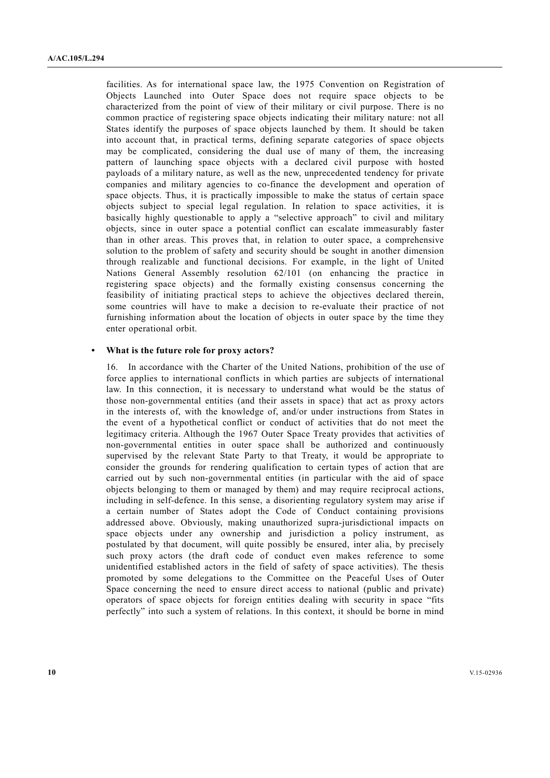facilities. As for international space law, the 1975 Convention on Registration of Objects Launched into Outer Space does not require space objects to be characterized from the point of view of their military or civil purpose. There is no common practice of registering space objects indicating their military nature: not all States identify the purposes of space objects launched by them. It should be taken into account that, in practical terms, defining separate categories of space objects may be complicated, considering the dual use of many of them, the increasing pattern of launching space objects with a declared civil purpose with hosted payloads of a military nature, as well as the new, unprecedented tendency for private companies and military agencies to co-finance the development and operation of space objects. Thus, it is practically impossible to make the status of certain space objects subject to special legal regulation. In relation to space activities, it is basically highly questionable to apply a "selective approach" to civil and military objects, since in outer space a potential conflict can escalate immeasurably faster than in other areas. This proves that, in relation to outer space, a comprehensive solution to the problem of safety and security should be sought in another dimension through realizable and functional decisions. For example, in the light of United Nations General Assembly resolution 62/101 (on enhancing the practice in registering space objects) and the formally existing consensus concerning the feasibility of initiating practical steps to achieve the objectives declared therein, some countries will have to make a decision to re-evaluate their practice of not furnishing information about the location of objects in outer space by the time they enter operational orbit.

## **• What is the future role for proxy actors?**

16. In accordance with the Charter of the United Nations, prohibition of the use of force applies to international conflicts in which parties are subjects of international law. In this connection, it is necessary to understand what would be the status of those non-governmental entities (and their assets in space) that act as proxy actors in the interests of, with the knowledge of, and/or under instructions from States in the event of a hypothetical conflict or conduct of activities that do not meet the legitimacy criteria. Although the 1967 Outer Space Treaty provides that activities of non-governmental entities in outer space shall be authorized and continuously supervised by the relevant State Party to that Treaty, it would be appropriate to consider the grounds for rendering qualification to certain types of action that are carried out by such non-governmental entities (in particular with the aid of space objects belonging to them or managed by them) and may require reciprocal actions, including in self-defence. In this sense, a disorienting regulatory system may arise if a certain number of States adopt the Code of Conduct containing provisions addressed above. Obviously, making unauthorized supra-jurisdictional impacts on space objects under any ownership and jurisdiction a policy instrument, as postulated by that document, will quite possibly be ensured, inter alia, by precisely such proxy actors (the draft code of conduct even makes reference to some unidentified established actors in the field of safety of space activities). The thesis promoted by some delegations to the Committee on the Peaceful Uses of Outer Space concerning the need to ensure direct access to national (public and private) operators of space objects for foreign entities dealing with security in space "fits perfectly" into such a system of relations. In this context, it should be borne in mind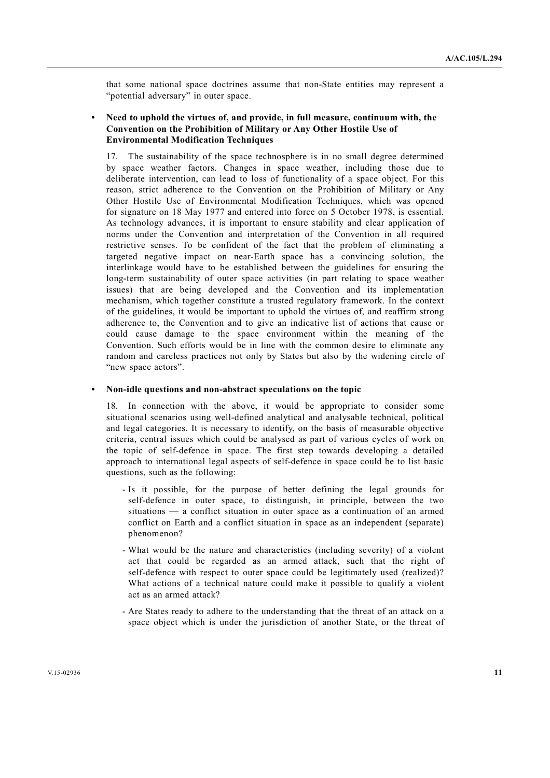that some national space doctrines assume that non-State entities may represent a "potential adversary" in outer space.

# **• Need to uphold the virtues of, and provide, in full measure, continuum with, the Convention on the Prohibition of Military or Any Other Hostile Use of Environmental Modification Techniques**

17. The sustainability of the space technosphere is in no small degree determined by space weather factors. Changes in space weather, including those due to deliberate intervention, can lead to loss of functionality of a space object. For this reason, strict adherence to the Convention on the Prohibition of Military or Any Other Hostile Use of Environmental Modification Techniques, which was opened for signature on 18 May 1977 and entered into force on 5 October 1978, is essential. As technology advances, it is important to ensure stability and clear application of norms under the Convention and interpretation of the Convention in all required restrictive senses. To be confident of the fact that the problem of eliminating a targeted negative impact on near-Earth space has a convincing solution, the interlinkage would have to be established between the guidelines for ensuring the long-term sustainability of outer space activities (in part relating to space weather issues) that are being developed and the Convention and its implementation mechanism, which together constitute a trusted regulatory framework. In the context of the guidelines, it would be important to uphold the virtues of, and reaffirm strong adherence to, the Convention and to give an indicative list of actions that cause or could cause damage to the space environment within the meaning of the Convention. Such efforts would be in line with the common desire to eliminate any random and careless practices not only by States but also by the widening circle of "new space actors".

# **• Non-idle questions and non-abstract speculations on the topic**

18. In connection with the above, it would be appropriate to consider some situational scenarios using well-defined analytical and analysable technical, political and legal categories. It is necessary to identify, on the basis of measurable objective criteria, central issues which could be analysed as part of various cycles of work on the topic of self-defence in space. The first step towards developing a detailed approach to international legal aspects of self-defence in space could be to list basic questions, such as the following:

- Is it possible, for the purpose of better defining the legal grounds for self-defence in outer space, to distinguish, in principle, between the two situations — a conflict situation in outer space as a continuation of an armed conflict on Earth and a conflict situation in space as an independent (separate) phenomenon?
- What would be the nature and characteristics (including severity) of a violent act that could be regarded as an armed attack, such that the right of self-defence with respect to outer space could be legitimately used (realized)? What actions of a technical nature could make it possible to qualify a violent act as an armed attack?
- Are States ready to adhere to the understanding that the threat of an attack on a space object which is under the jurisdiction of another State, or the threat of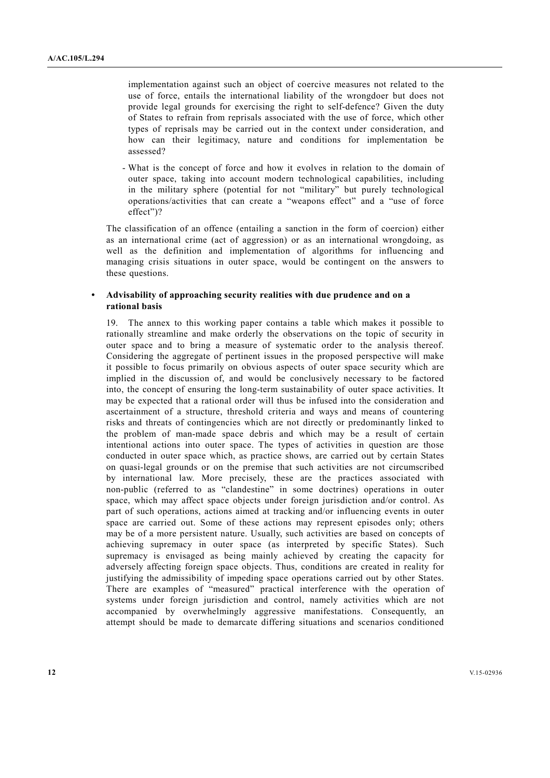implementation against such an object of coercive measures not related to the use of force, entails the international liability of the wrongdoer but does not provide legal grounds for exercising the right to self-defence? Given the duty of States to refrain from reprisals associated with the use of force, which other types of reprisals may be carried out in the context under consideration, and how can their legitimacy, nature and conditions for implementation be assessed?

 - What is the concept of force and how it evolves in relation to the domain of outer space, taking into account modern technological capabilities, including in the military sphere (potential for not "military" but purely technological operations/activities that can create a "weapons effect" and a "use of force effect")?

The classification of an offence (entailing a sanction in the form of coercion) either as an international crime (act of aggression) or as an international wrongdoing, as well as the definition and implementation of algorithms for influencing and managing crisis situations in outer space, would be contingent on the answers to these questions.

## **• Advisability of approaching security realities with due prudence and on a rational basis**

19. The annex to this working paper contains a table which makes it possible to rationally streamline and make orderly the observations on the topic of security in outer space and to bring a measure of systematic order to the analysis thereof. Considering the aggregate of pertinent issues in the proposed perspective will make it possible to focus primarily on obvious aspects of outer space security which are implied in the discussion of, and would be conclusively necessary to be factored into, the concept of ensuring the long-term sustainability of outer space activities. It may be expected that a rational order will thus be infused into the consideration and ascertainment of a structure, threshold criteria and ways and means of countering risks and threats of contingencies which are not directly or predominantly linked to the problem of man-made space debris and which may be a result of certain intentional actions into outer space. The types of activities in question are those conducted in outer space which, as practice shows, are carried out by certain States on quasi-legal grounds or on the premise that such activities are not circumscribed by international law. More precisely, these are the practices associated with non-public (referred to as "clandestine" in some doctrines) operations in outer space, which may affect space objects under foreign jurisdiction and/or control. As part of such operations, actions aimed at tracking and/or influencing events in outer space are carried out. Some of these actions may represent episodes only; others may be of a more persistent nature. Usually, such activities are based on concepts of achieving supremacy in outer space (as interpreted by specific States). Such supremacy is envisaged as being mainly achieved by creating the capacity for adversely affecting foreign space objects. Thus, conditions are created in reality for justifying the admissibility of impeding space operations carried out by other States. There are examples of "measured" practical interference with the operation of systems under foreign jurisdiction and control, namely activities which are not accompanied by overwhelmingly aggressive manifestations. Consequently, an attempt should be made to demarcate differing situations and scenarios conditioned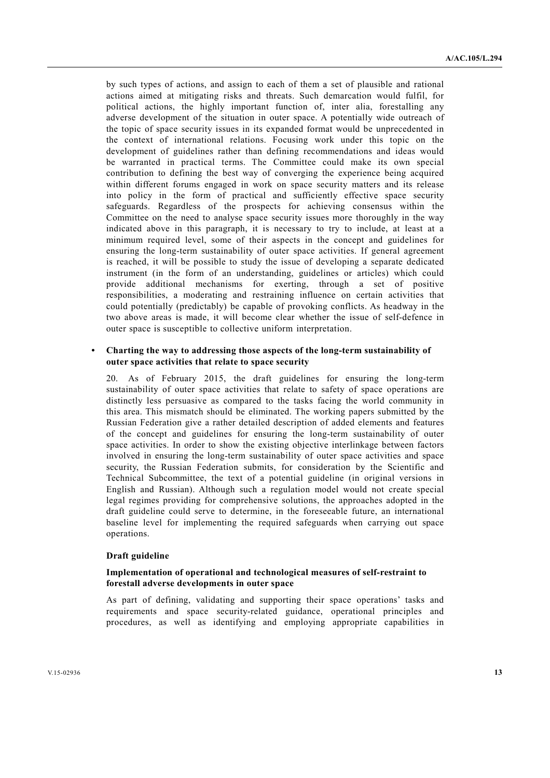by such types of actions, and assign to each of them a set of plausible and rational actions aimed at mitigating risks and threats. Such demarcation would fulfil, for political actions, the highly important function of, inter alia, forestalling any adverse development of the situation in outer space. A potentially wide outreach of the topic of space security issues in its expanded format would be unprecedented in the context of international relations. Focusing work under this topic on the development of guidelines rather than defining recommendations and ideas would be warranted in practical terms. The Committee could make its own special contribution to defining the best way of converging the experience being acquired within different forums engaged in work on space security matters and its release into policy in the form of practical and sufficiently effective space security safeguards. Regardless of the prospects for achieving consensus within the Committee on the need to analyse space security issues more thoroughly in the way indicated above in this paragraph, it is necessary to try to include, at least at a minimum required level, some of their aspects in the concept and guidelines for ensuring the long-term sustainability of outer space activities. If general agreement is reached, it will be possible to study the issue of developing a separate dedicated instrument (in the form of an understanding, guidelines or articles) which could provide additional mechanisms for exerting, through a set of positive responsibilities, a moderating and restraining influence on certain activities that could potentially (predictably) be capable of provoking conflicts. As headway in the two above areas is made, it will become clear whether the issue of self-defence in outer space is susceptible to collective uniform interpretation.

# **• Charting the way to addressing those aspects of the long-term sustainability of outer space activities that relate to space security**

20. As of February 2015, the draft guidelines for ensuring the long-term sustainability of outer space activities that relate to safety of space operations are distinctly less persuasive as compared to the tasks facing the world community in this area. This mismatch should be eliminated. The working papers submitted by the Russian Federation give a rather detailed description of added elements and features of the concept and guidelines for ensuring the long-term sustainability of outer space activities. In order to show the existing objective interlinkage between factors involved in ensuring the long-term sustainability of outer space activities and space security, the Russian Federation submits, for consideration by the Scientific and Technical Subcommittee, the text of a potential guideline (in original versions in English and Russian). Although such a regulation model would not create special legal regimes providing for comprehensive solutions, the approaches adopted in the draft guideline could serve to determine, in the foreseeable future, an international baseline level for implementing the required safeguards when carrying out space operations.

## **Draft guideline**

## **Implementation of operational and technological measures of self-restraint to forestall adverse developments in outer space**

As part of defining, validating and supporting their space operations' tasks and requirements and space security-related guidance, operational principles and procedures, as well as identifying and employing appropriate capabilities in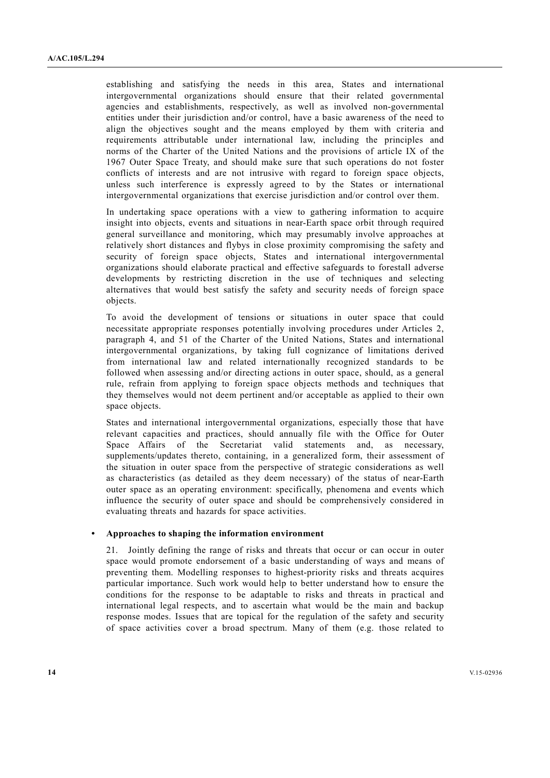establishing and satisfying the needs in this area, States and international intergovernmental organizations should ensure that their related governmental agencies and establishments, respectively, as well as involved non-governmental entities under their jurisdiction and/or control, have a basic awareness of the need to align the objectives sought and the means employed by them with criteria and requirements attributable under international law, including the principles and norms of the Charter of the United Nations and the provisions of article IX of the 1967 Outer Space Treaty, and should make sure that such operations do not foster conflicts of interests and are not intrusive with regard to foreign space objects, unless such interference is expressly agreed to by the States or international intergovernmental organizations that exercise jurisdiction and/or control over them.

In undertaking space operations with a view to gathering information to acquire insight into objects, events and situations in near-Earth space orbit through required general surveillance and monitoring, which may presumably involve approaches at relatively short distances and flybys in close proximity compromising the safety and security of foreign space objects, States and international intergovernmental organizations should elaborate practical and effective safeguards to forestall adverse developments by restricting discretion in the use of techniques and selecting alternatives that would best satisfy the safety and security needs of foreign space objects.

To avoid the development of tensions or situations in outer space that could necessitate appropriate responses potentially involving procedures under Articles 2, paragraph 4, and 51 of the Charter of the United Nations, States and international intergovernmental organizations, by taking full cognizance of limitations derived from international law and related internationally recognized standards to be followed when assessing and/or directing actions in outer space, should, as a general rule, refrain from applying to foreign space objects methods and techniques that they themselves would not deem pertinent and/or acceptable as applied to their own space objects.

States and international intergovernmental organizations, especially those that have relevant capacities and practices, should annually file with the Office for Outer Space Affairs of the Secretariat valid statements and, as necessary, supplements/updates thereto, containing, in a generalized form, their assessment of the situation in outer space from the perspective of strategic considerations as well as characteristics (as detailed as they deem necessary) of the status of near-Earth outer space as an operating environment: specifically, phenomena and events which influence the security of outer space and should be comprehensively considered in evaluating threats and hazards for space activities.

## **• Approaches to shaping the information environment**

21. Jointly defining the range of risks and threats that occur or can occur in outer space would promote endorsement of a basic understanding of ways and means of preventing them. Modelling responses to highest-priority risks and threats acquires particular importance. Such work would help to better understand how to ensure the conditions for the response to be adaptable to risks and threats in practical and international legal respects, and to ascertain what would be the main and backup response modes. Issues that are topical for the regulation of the safety and security of space activities cover a broad spectrum. Many of them (e.g. those related to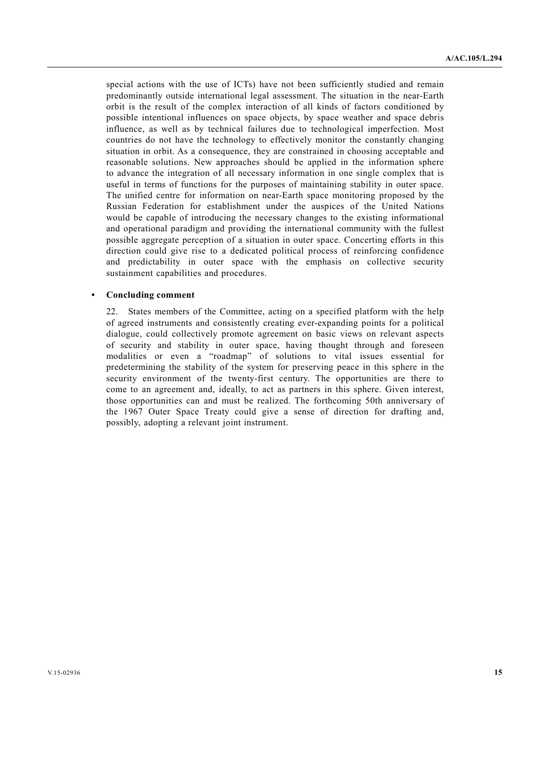special actions with the use of ICTs) have not been sufficiently studied and remain predominantly outside international legal assessment. The situation in the near-Earth orbit is the result of the complex interaction of all kinds of factors conditioned by possible intentional influences on space objects, by space weather and space debris influence, as well as by technical failures due to technological imperfection. Most countries do not have the technology to effectively monitor the constantly changing situation in orbit. As a consequence, they are constrained in choosing acceptable and reasonable solutions. New approaches should be applied in the information sphere to advance the integration of all necessary information in one single complex that is useful in terms of functions for the purposes of maintaining stability in outer space. The unified centre for information on near-Earth space monitoring proposed by the Russian Federation for establishment under the auspices of the United Nations would be capable of introducing the necessary changes to the existing informational and operational paradigm and providing the international community with the fullest possible aggregate perception of a situation in outer space. Concerting efforts in this direction could give rise to a dedicated political process of reinforcing confidence and predictability in outer space with the emphasis on collective security sustainment capabilities and procedures.

#### **• Concluding comment**

22. States members of the Committee, acting on a specified platform with the help of agreed instruments and consistently creating ever-expanding points for a political dialogue, could collectively promote agreement on basic views on relevant aspects of security and stability in outer space, having thought through and foreseen modalities or even a "roadmap" of solutions to vital issues essential for predetermining the stability of the system for preserving peace in this sphere in the security environment of the twenty-first century. The opportunities are there to come to an agreement and, ideally, to act as partners in this sphere. Given interest, those opportunities can and must be realized. The forthcoming 50th anniversary of the 1967 Outer Space Treaty could give a sense of direction for drafting and, possibly, adopting a relevant joint instrument.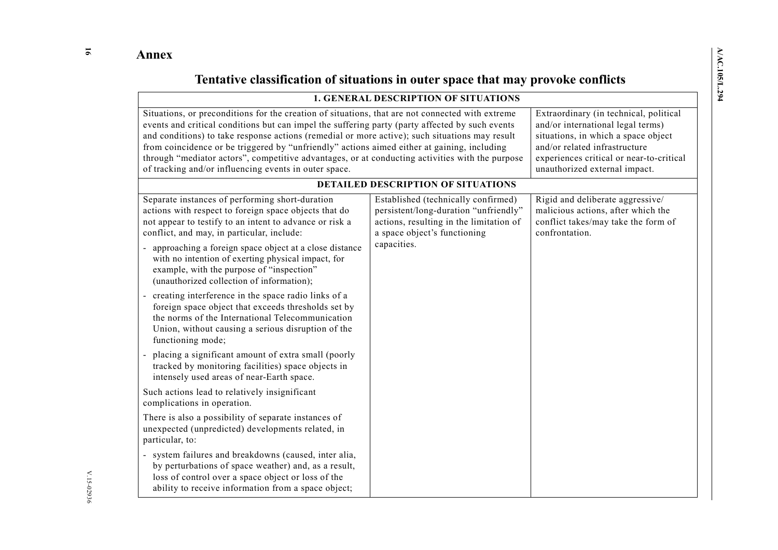**16** 

# **Tentative classification of situations in outer space that may provoke conflicts**

| <b>1. GENERAL DESCRIPTION OF SITUATIONS</b>                                                                                                                                                                                                                                                                                                                                                                                                                                                                                                                      |                                                                                                                                                         |                                                                                                                                                                                                                                  |  |
|------------------------------------------------------------------------------------------------------------------------------------------------------------------------------------------------------------------------------------------------------------------------------------------------------------------------------------------------------------------------------------------------------------------------------------------------------------------------------------------------------------------------------------------------------------------|---------------------------------------------------------------------------------------------------------------------------------------------------------|----------------------------------------------------------------------------------------------------------------------------------------------------------------------------------------------------------------------------------|--|
| Situations, or preconditions for the creation of situations, that are not connected with extreme<br>events and critical conditions but can impel the suffering party (party affected by such events<br>and conditions) to take response actions (remedial or more active); such situations may result<br>from coincidence or be triggered by "unfriendly" actions aimed either at gaining, including<br>through "mediator actors", competitive advantages, or at conducting activities with the purpose<br>of tracking and/or influencing events in outer space. |                                                                                                                                                         | Extraordinary (in technical, political<br>and/or international legal terms)<br>situations, in which a space object<br>and/or related infrastructure<br>experiences critical or near-to-critical<br>unauthorized external impact. |  |
|                                                                                                                                                                                                                                                                                                                                                                                                                                                                                                                                                                  | <b>DETAILED DESCRIPTION OF SITUATIONS</b>                                                                                                               |                                                                                                                                                                                                                                  |  |
| Separate instances of performing short-duration<br>actions with respect to foreign space objects that do<br>not appear to testify to an intent to advance or risk a<br>conflict, and may, in particular, include:                                                                                                                                                                                                                                                                                                                                                | Established (technically confirmed)<br>persistent/long-duration "unfriendly"<br>actions, resulting in the limitation of<br>a space object's functioning | Rigid and deliberate aggressive/<br>malicious actions, after which the<br>conflict takes/may take the form of<br>confrontation.                                                                                                  |  |
| approaching a foreign space object at a close distance<br>with no intention of exerting physical impact, for<br>example, with the purpose of "inspection"<br>(unauthorized collection of information);                                                                                                                                                                                                                                                                                                                                                           | capacities.                                                                                                                                             |                                                                                                                                                                                                                                  |  |
| creating interference in the space radio links of a<br>foreign space object that exceeds thresholds set by<br>the norms of the International Telecommunication<br>Union, without causing a serious disruption of the<br>functioning mode;                                                                                                                                                                                                                                                                                                                        |                                                                                                                                                         |                                                                                                                                                                                                                                  |  |
| - placing a significant amount of extra small (poorly<br>tracked by monitoring facilities) space objects in<br>intensely used areas of near-Earth space.                                                                                                                                                                                                                                                                                                                                                                                                         |                                                                                                                                                         |                                                                                                                                                                                                                                  |  |
| Such actions lead to relatively insignificant<br>complications in operation.                                                                                                                                                                                                                                                                                                                                                                                                                                                                                     |                                                                                                                                                         |                                                                                                                                                                                                                                  |  |
| There is also a possibility of separate instances of<br>unexpected (unpredicted) developments related, in<br>particular, to:                                                                                                                                                                                                                                                                                                                                                                                                                                     |                                                                                                                                                         |                                                                                                                                                                                                                                  |  |
| system failures and breakdowns (caused, inter alia,<br>by perturbations of space weather) and, as a result,<br>loss of control over a space object or loss of the<br>ability to receive information from a space object;                                                                                                                                                                                                                                                                                                                                         |                                                                                                                                                         |                                                                                                                                                                                                                                  |  |